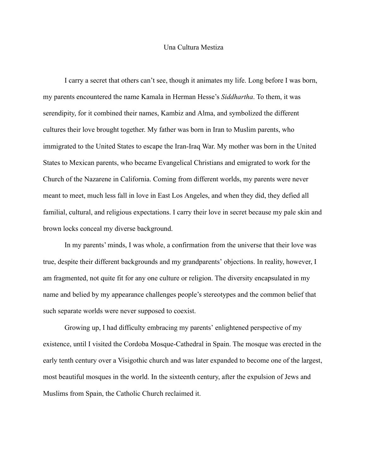## Una Cultura Mestiza

I carry a secret that others can't see, though it animates my life. Long before I was born, my parents encountered the name Kamala in Herman Hesse's *Siddhartha*. To them, it was serendipity, for it combined their names, Kambiz and Alma, and symbolized the different cultures their love brought together. My father was born in Iran to Muslim parents, who immigrated to the United States to escape the Iran-Iraq War. My mother was born in the United States to Mexican parents, who became Evangelical Christians and emigrated to work for the Church of the Nazarene in California. Coming from different worlds, my parents were never meant to meet, much less fall in love in East Los Angeles, and when they did, they defied all familial, cultural, and religious expectations. I carry their love in secret because my pale skin and brown locks conceal my diverse background.

In my parents' minds, I was whole, a confirmation from the universe that their love was true, despite their different backgrounds and my grandparents' objections. In reality, however, I am fragmented, not quite fit for any one culture or religion. The diversity encapsulated in my name and belied by my appearance challenges people's stereotypes and the common belief that such separate worlds were never supposed to coexist.

Growing up, I had difficulty embracing my parents' enlightened perspective of my existence, until I visited the Cordoba Mosque-Cathedral in Spain. The mosque was erected in the early tenth century over a Visigothic church and was later expanded to become one of the largest, most beautiful mosques in the world. In the sixteenth century, after the expulsion of Jews and Muslims from Spain, the Catholic Church reclaimed it.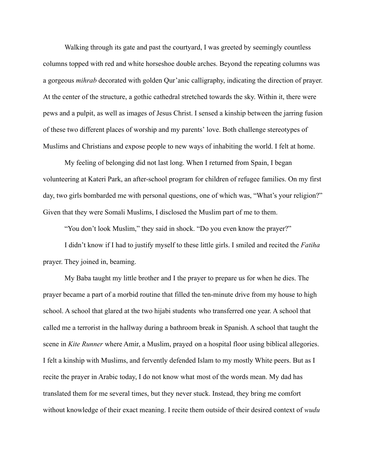Walking through its gate and past the courtyard, I was greeted by seemingly countless columns topped with red and white horseshoe double arches. Beyond the repeating columns was a gorgeous *mihrab* decorated with golden Qur'anic calligraphy, indicating the direction of prayer. At the center of the structure, a gothic cathedral stretched towards the sky. Within it, there were pews and a pulpit, as well as images of Jesus Christ. I sensed a kinship between the jarring fusion of these two different places of worship and my parents' love. Both challenge stereotypes of Muslims and Christians and expose people to new ways of inhabiting the world. I felt at home.

My feeling of belonging did not last long. When I returned from Spain, I began volunteering at Kateri Park, an after-school program for children of refugee families. On my first day, two girls bombarded me with personal questions, one of which was, "What's your religion?" Given that they were Somali Muslims, I disclosed the Muslim part of me to them.

"You don't look Muslim," they said in shock. "Do you even know the prayer?"

I didn't know if I had to justify myself to these little girls. I smiled and recited the *Fatiha* prayer. They joined in, beaming.

My Baba taught my little brother and I the prayer to prepare us for when he dies. The prayer became a part of a morbid routine that filled the ten-minute drive from my house to high school. A school that glared at the two hijabi students who transferred one year. A school that called me a terrorist in the hallway during a bathroom break in Spanish. A school that taught the scene in *Kite Runner* where Amir, a Muslim, prayed on a hospital floor using biblical allegories. I felt a kinship with Muslims, and fervently defended Islam to my mostly White peers. But as I recite the prayer in Arabic today, I do not know what most of the words mean. My dad has translated them for me several times, but they never stuck. Instead, they bring me comfort without knowledge of their exact meaning. I recite them outside of their desired context of *wudu*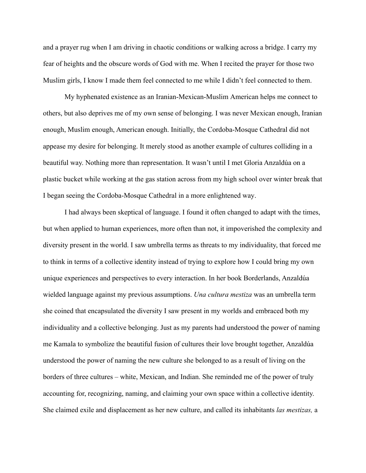and a prayer rug when I am driving in chaotic conditions or walking across a bridge. I carry my fear of heights and the obscure words of God with me. When I recited the prayer for those two Muslim girls, I know I made them feel connected to me while I didn't feel connected to them.

My hyphenated existence as an Iranian-Mexican-Muslim American helps me connect to others, but also deprives me of my own sense of belonging. I was never Mexican enough, Iranian enough, Muslim enough, American enough. Initially, the Cordoba-Mosque Cathedral did not appease my desire for belonging. It merely stood as another example of cultures colliding in a beautiful way. Nothing more than representation. It wasn't until I met Gloria Anzaldúa on a plastic bucket while working at the gas station across from my high school over winter break that I began seeing the Cordoba-Mosque Cathedral in a more enlightened way.

I had always been skeptical of language. I found it often changed to adapt with the times, but when applied to human experiences, more often than not, it impoverished the complexity and diversity present in the world. I saw umbrella terms as threats to my individuality, that forced me to think in terms of a collective identity instead of trying to explore how I could bring my own unique experiences and perspectives to every interaction. In her book Borderlands, Anzaldúa wielded language against my previous assumptions. *Una cultura mestiza* was an umbrella term she coined that encapsulated the diversity I saw present in my worlds and embraced both my individuality and a collective belonging. Just as my parents had understood the power of naming me Kamala to symbolize the beautiful fusion of cultures their love brought together, Anzaldúa understood the power of naming the new culture she belonged to as a result of living on the borders of three cultures – white, Mexican, and Indian. She reminded me of the power of truly accounting for, recognizing, naming, and claiming your own space within a collective identity. She claimed exile and displacement as her new culture, and called its inhabitants *las mestizas,* a